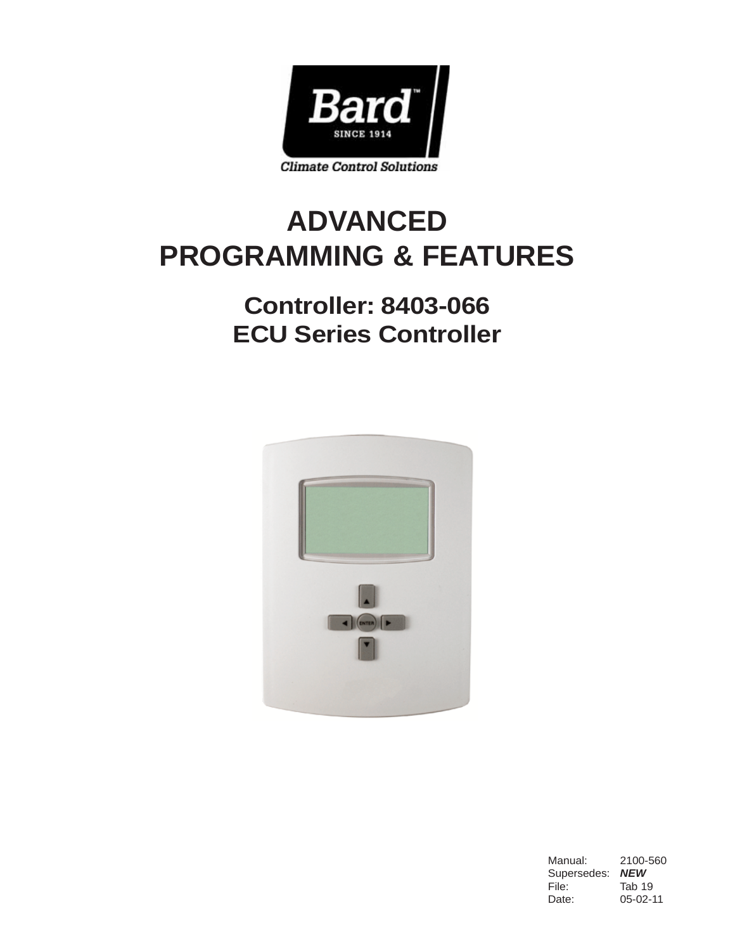

# **ADVANCED PROGRAMMING & FEATURES**

## **Controller: 8403-066 ECU Series Controller**



Manual: 2100-560 Supersedes: *NEW* File: Tab 19 Date: 05-02-11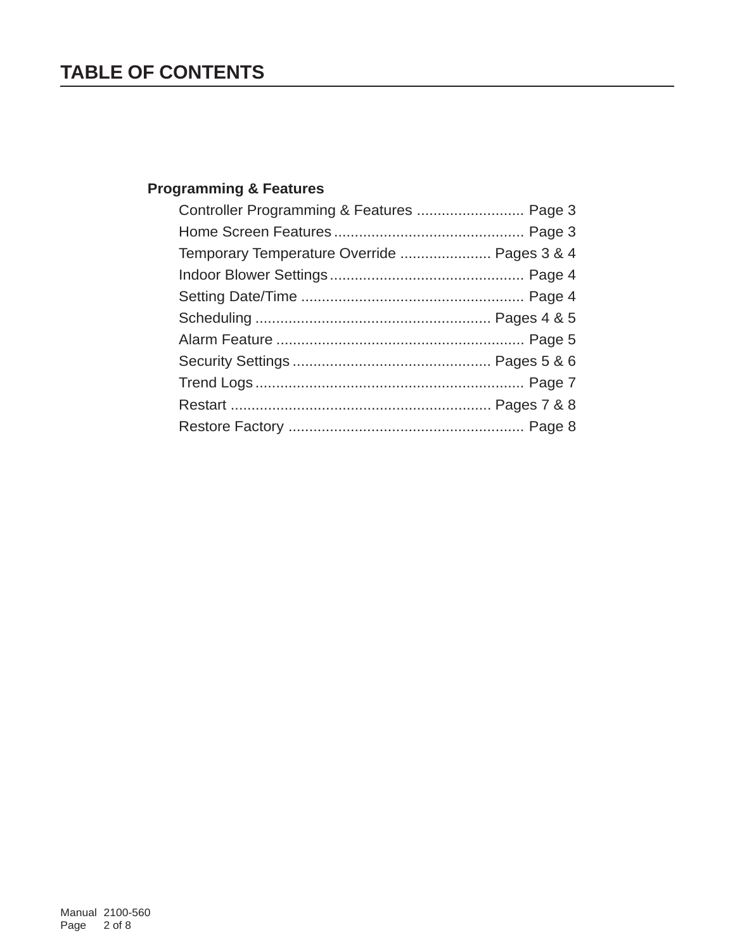## **TABLE OF CONTENTS**

## **Programming & Features**

| Controller Programming & Features  Page 3   |  |
|---------------------------------------------|--|
|                                             |  |
| Temporary Temperature Override  Pages 3 & 4 |  |
|                                             |  |
|                                             |  |
|                                             |  |
|                                             |  |
|                                             |  |
|                                             |  |
|                                             |  |
|                                             |  |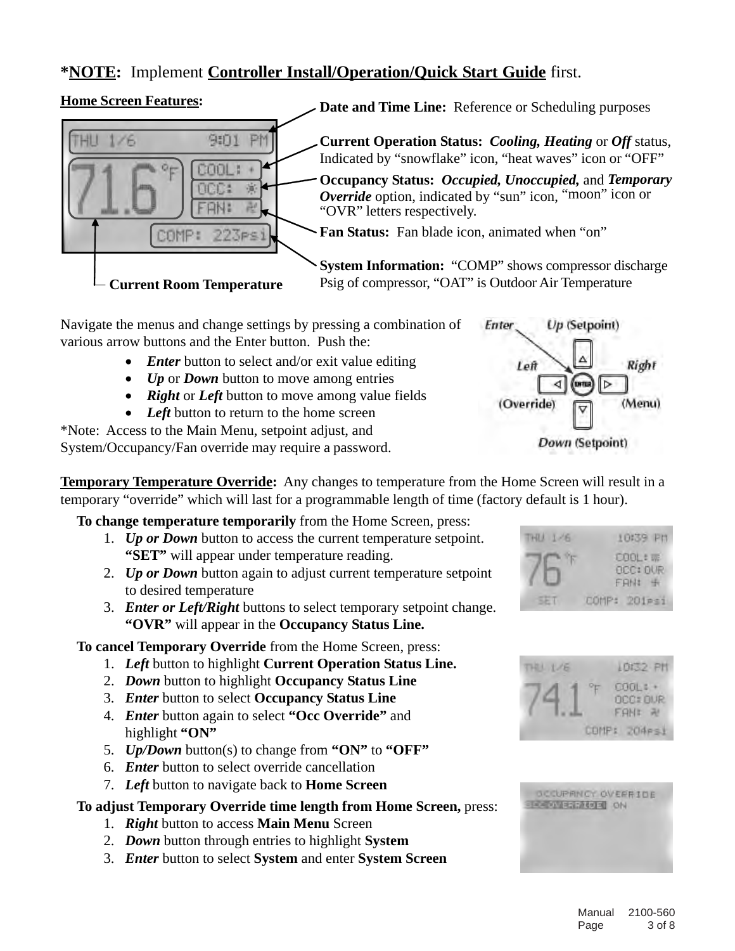### **\*NOTE:** Implement **Controller Install/Operation/Quick Start Guide** first.

#### **Home Screen Features:**



Navigate the menus and change settings by pressing a combination of various arrow buttons and the Enter button. Push the:

- *Enter* button to select and/or exit value editing
- *Up* or *Down* button to move among entries
- *Right* or *Left* button to move among value fields
- Left button to return to the home screen

\*Note: Access to the Main Menu, setpoint adjust, and System/Occupancy/Fan override may require a password.

**Temporary Temperature Override:** Any changes to temperature from the Home Screen will result in a temporary "override" which will last for a programmable length of time (factory default is 1 hour).

**To change temperature temporarily** from the Home Screen, press:

- 1. *Up or Down* button to access the current temperature setpoint. **"SET"** will appear under temperature reading.
- 2. *Up or Down* button again to adjust current temperature setpoint to desired temperature
- 3. *Enter or Left/Right* buttons to select temporary setpoint change. **"OVR"** will appear in the **Occupancy Status Line.**

**To cancel Temporary Override** from the Home Screen, press:

- 1. *Left* button to highlight **Current Operation Status Line.**
- 2. *Down* button to highlight **Occupancy Status Line**
- 3. *Enter* button to select **Occupancy Status Line**
- 4. *Enter* button again to select **"Occ Override"** and highlight **"ON"**
- 5. *Up/Down* button(s) to change from **"ON"** to **"OFF"**
- 6. *Enter* button to select override cancellation
- 7. *Left* button to navigate back to **Home Screen**

#### **To adjust Temporary Override time length from Home Screen,** press:

- 1. *Right* button to access **Main Menu** Screen
- 2. *Down* button through entries to highlight **System**
- 3. *Enter* button to select **System** and enter **System Screen**







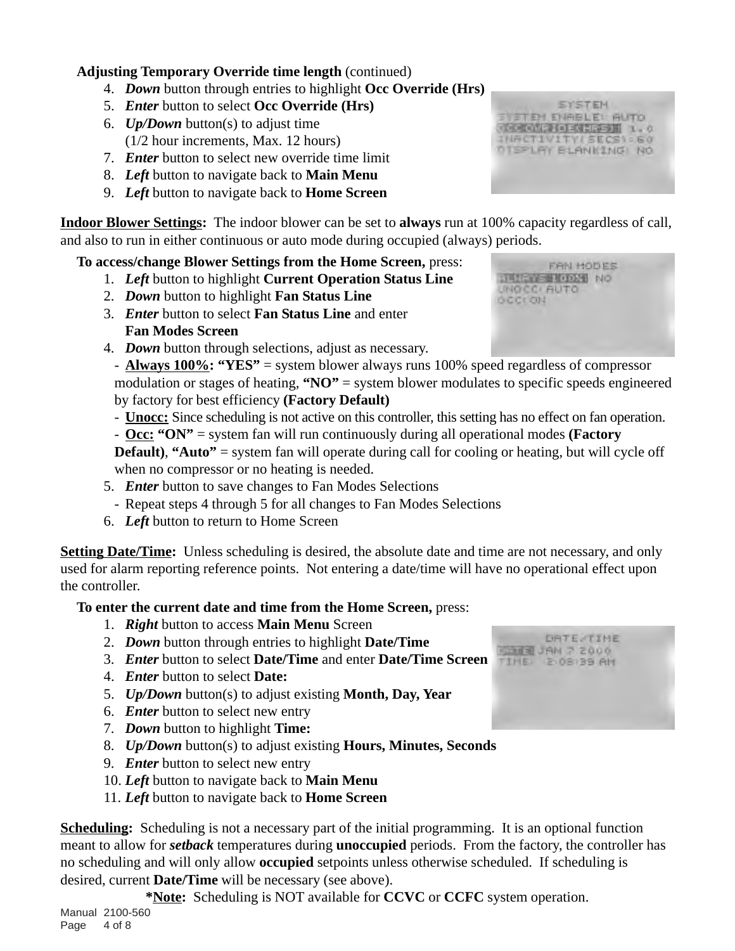#### **Adjusting Temporary Override time length** (continued)

- 4. *Down* button through entries to highlight **Occ Override (Hrs)**
- 5. *Enter* button to select **Occ Override (Hrs)**
- 6. *Up/Down* button(s) to adjust time (1/2 hour increments, Max. 12 hours)
- 7. *Enter* button to select new override time limit
- 8. *Left* button to navigate back to **Main Menu**
- 9. *Left* button to navigate back to **Home Screen**

**Indoor Blower Settings:** The indoor blower can be set to **always** run at 100% capacity regardless of call, and also to run in either continuous or auto mode during occupied (always) periods.

#### **To access/change Blower Settings from the Home Screen,** press:

- 1. *Left* button to highlight **Current Operation Status Line**
- 2. *Down* button to highlight **Fan Status Line**
- 3. *Enter* button to select **Fan Status Line** and enter **Fan Modes Screen**
- 4. *Down* button through selections, adjust as necessary.

- **Always 100%: "YES"** = system blower always runs 100% speed regardless of compressor modulation or stages of heating, **"NO"** = system blower modulates to specific speeds engineered by factory for best efficiency **(Factory Default)**

- **Unocc:** Since scheduling is not active on this controller, this setting has no effect on fan operation.
- **Occ: "ON"** = system fan will run continuously during all operational modes **(Factory**

**Default), "Auto"** = system fan will operate during call for cooling or heating, but will cycle off when no compressor or no heating is needed.

- 5. *Enter* button to save changes to Fan Modes Selections
- Repeat steps 4 through 5 for all changes to Fan Modes Selections
- 6. *Left* button to return to Home Screen

**Setting Date/Time:** Unless scheduling is desired, the absolute date and time are not necessary, and only used for alarm reporting reference points. Not entering a date/time will have no operational effect upon the controller.

#### **To enter the current date and time from the Home Screen,** press:

- 1. *Right* button to access **Main Menu** Screen
- 2. *Down* button through entries to highlight **Date/Time**
- 3. *Enter* button to select **Date/Time** and enter **Date/Time Screen**
- 4. *Enter* button to select **Date:**
- 5. *Up/Down* button(s) to adjust existing **Month, Day, Year**
- 6. *Enter* button to select new entry
- 7. *Down* button to highlight **Time:**
- 8. *Up/Down* button(s) to adjust existing **Hours, Minutes, Seconds**
- 9. *Enter* button to select new entry
- 10. *Left* button to navigate back to **Main Menu**
- 11. *Left* button to navigate back to **Home Screen**

**Scheduling:** Scheduling is not a necessary part of the initial programming. It is an optional function meant to allow for *setback* temperatures during **unoccupied** periods. From the factory, the controller has no scheduling and will only allow **occupied** setpoints unless otherwise scheduled. If scheduling is desired, current **Date/Time** will be necessary (see above).

**\*Note:** Scheduling is NOT available for **CCVC** or **CCFC** system operation.

**SYSTEM STEM EMBLE: BUTO CONTRACTMENT 1.0** INACTIVITYLSECS\ - 60 **DISPLAY BLANKING NO** 

DRTE-TIME 0005 S. MAL ELECT **MA 26180 S 13H 211** 

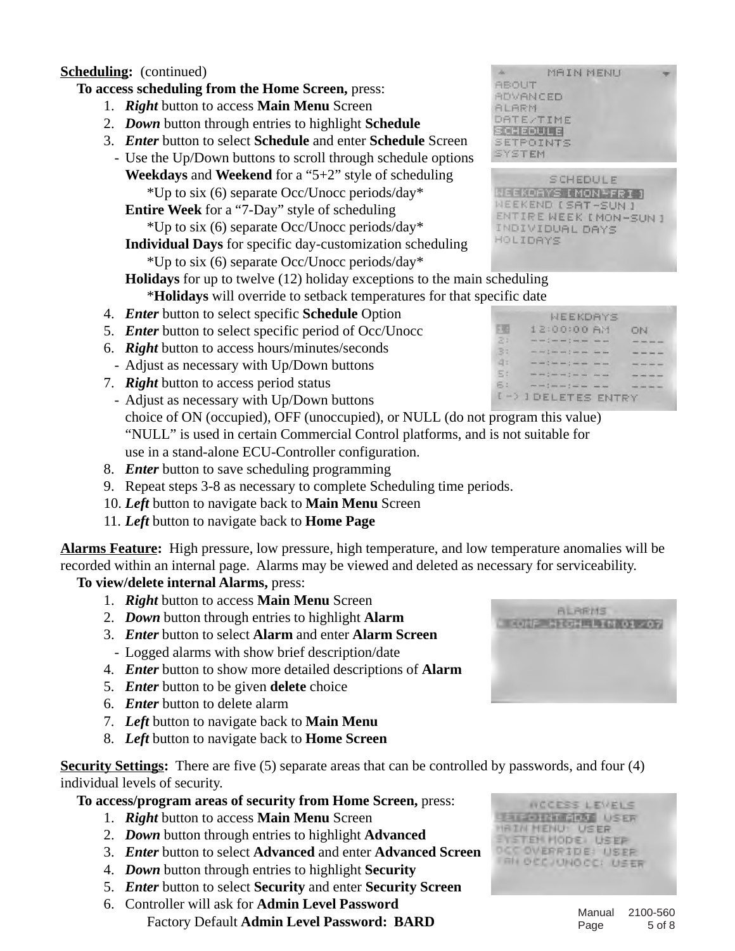#### **Scheduling:** (continued)

#### **To access scheduling from the Home Screen,** press:

- 1. *Right* button to access **Main Menu** Screen
- 2. *Down* button through entries to highlight **Schedule**
- 3. *Enter* button to select **Schedule** and enter **Schedule** Screen
	- Use the Up/Down buttons to scroll through schedule options **Weekdays** and **Weekend** for a "5+2" style of scheduling \*Up to six (6) separate Occ/Unocc periods/day\*
		- **Entire Week** for a "7-Day" style of scheduling

\*Up to six (6) separate Occ/Unocc periods/day\*

**Individual Days** for specific day-customization scheduling \*Up to six (6) separate Occ/Unocc periods/day\*

**Holidays** for up to twelve (12) holiday exceptions to the main scheduling \***Holidays** will override to setback temperatures for that specific date

- 4. *Enter* button to select specific **Schedule** Option
- 5. *Enter* button to select specific period of Occ/Unocc
- 6. *Right* button to access hours/minutes/seconds
- Adjust as necessary with Up/Down buttons
- 7. *Right* button to access period status
- Adjust as necessary with Up/Down buttons choice of ON (occupied), OFF (unoccupied), or NULL (do not program this value) "NULL" is used in certain Commercial Control platforms, and is not suitable for use in a stand-alone ECU-Controller configuration.
- 8. *Enter* button to save scheduling programming
- 9. Repeat steps 3-8 as necessary to complete Scheduling time periods.
- 10. *Left* button to navigate back to **Main Menu** Screen
- 11. *Left* button to navigate back to **Home Page**

**Alarms Feature:** High pressure, low pressure, high temperature, and low temperature anomalies will be recorded within an internal page. Alarms may be viewed and deleted as necessary for serviceability.

#### **To view/delete internal Alarms,** press:

- 1. *Right* button to access **Main Menu** Screen
- 2. *Down* button through entries to highlight **Alarm**
- 3. *Enter* button to select **Alarm** and enter **Alarm Screen**
- Logged alarms with show brief description/date
- 4. *Enter* button to show more detailed descriptions of **Alarm**
- 5. *Enter* button to be given **delete** choice
- 6. *Enter* button to delete alarm
- 7. *Left* button to navigate back to **Main Menu**
- 8. *Left* button to navigate back to **Home Screen**

**Security Settings:** There are five (5) separate areas that can be controlled by passwords, and four (4) individual levels of security.

**To access/program areas of security from Home Screen,** press:

- 1. *Right* button to access **Main Menu** Screen
- 2. *Down* button through entries to highlight **Advanced**
- 3. *Enter* button to select **Advanced** and enter **Advanced Screen**
- 4. *Down* button through entries to highlight **Security**
- 5. *Enter* button to select **Security** and enter **Security Screen**
- 6. Controller will ask for **Admin Level Password** Factory Default **Admin Level Password: BARD**

MAIN MENU **REQUIT** ADVANCED **ALARM** DATE/TIME **Experiencial** SETPOINTS SYSTEM

SCHEDULE (EEKDAYS [MON-FRI] WEEKEND [SAT-SUN] ENTIRE WEEK I MON-SUN 1 INDIVIDUAL DAYS HOLIDAYS

|              | <b>WEEKDAYS</b>                                 |    |
|--------------|-------------------------------------------------|----|
| 549          | 12:00:00 AM                                     | OЫ |
| 2:           |                                                 |    |
| $\mathbb{B}$ | the last 2 days and 2 hour and 1 days have      |    |
| 4:           | met vers 2 dans noch 2 von hans 1 dans noch     |    |
| 5:           | from the Constitution Constitution Constitution |    |
| 6:           | the set of the set of the first control         |    |
|              | [ -> ] DELETES ENTRY                            |    |



| <b>ETERINT CRAF USER</b> |
|--------------------------|
| <b>RIN MENUT USER</b>    |
| <b>YSTEM MODEL USER</b>  |
| <b>CCOVERRIDE: USER</b>  |
| RN OCCJUNOCC: USER       |
|                          |

 $overline{r}$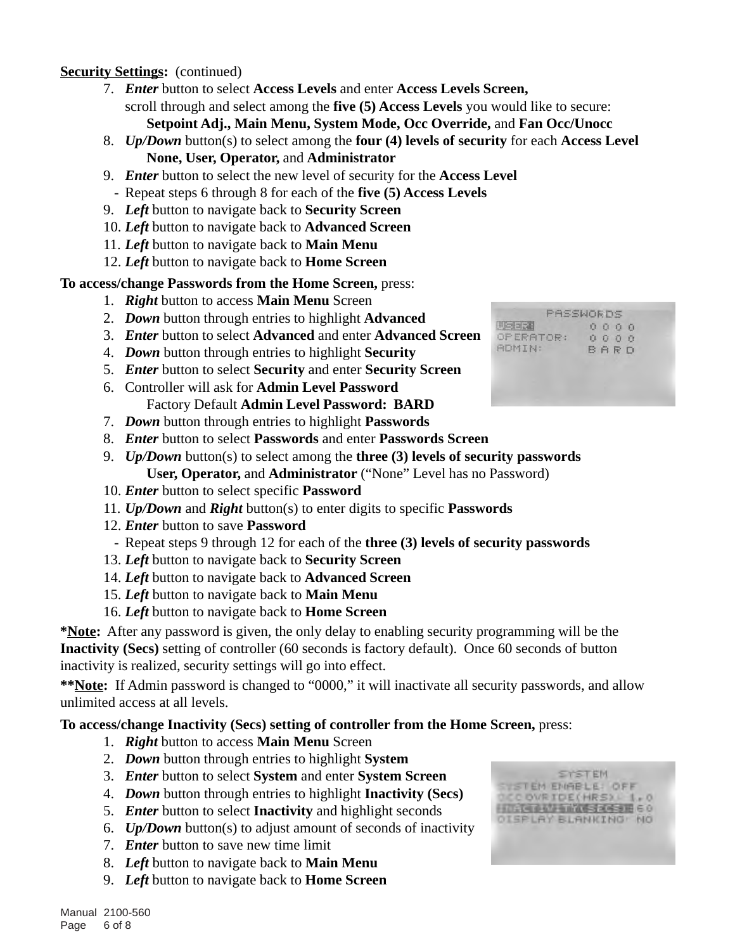#### **Security Settings:** (continued)

- 7. *Enter* button to select **Access Levels** and enter **Access Levels Screen,** scroll through and select among the **five (5) Access Levels** you would like to secure: **Setpoint Adj., Main Menu, System Mode, Occ Override,** and **Fan Occ/Unocc**
- 8. *Up/Down* button(s) to select among the **four (4) levels of security** for each **Access Level None, User, Operator,** and **Administrator**
- 9. *Enter* button to select the new level of security for the **Access Level**
- Repeat steps 6 through 8 for each of the **five (5) Access Levels**
- 9. *Left* button to navigate back to **Security Screen**
- 10. *Left* button to navigate back to **Advanced Screen**
- 11. *Left* button to navigate back to **Main Menu**
- 12. *Left* button to navigate back to **Home Screen**

#### **To access/change Passwords from the Home Screen,** press:

- 1. *Right* button to access **Main Menu** Screen
- 2. *Down* button through entries to highlight **Advanced**
- 3. *Enter* button to select **Advanced** and enter **Advanced Screen**
- 4. *Down* button through entries to highlight **Security**
- 5. *Enter* button to select **Security** and enter **Security Screen**
- 6. Controller will ask for **Admin Level Password** Factory Default **Admin Level Password: BARD**
- 7. *Down* button through entries to highlight **Passwords**
- 8. *Enter* button to select **Passwords** and enter **Passwords Screen**
- 9. *Up/Down* button(s) to select among the **three (3) levels of security passwords User, Operator,** and **Administrator** ("None" Level has no Password)
- 10. *Enter* button to select specific **Password**
- 11. *Up/Down* and *Right* button(s) to enter digits to specific **Passwords**
- 12. *Enter* button to save **Password**
- Repeat steps 9 through 12 for each of the **three (3) levels of security passwords**
- 13. *Left* button to navigate back to **Security Screen**
- 14. *Left* button to navigate back to **Advanced Screen**
- 15. *Left* button to navigate back to **Main Menu**
- 16. *Left* button to navigate back to **Home Screen**

**\*Note:** After any password is given, the only delay to enabling security programming will be the **Inactivity (Secs)** setting of controller (60 seconds is factory default). Once 60 seconds of button inactivity is realized, security settings will go into effect.

**\*\*Note:** If Admin password is changed to "0000," it will inactivate all security passwords, and allow unlimited access at all levels.

#### **To access/change Inactivity (Secs) setting of controller from the Home Screen,** press:

- 1. *Right* button to access **Main Menu** Screen
- 2. *Down* button through entries to highlight **System**
- 3. *Enter* button to select **System** and enter **System Screen**
- 4. *Down* button through entries to highlight **Inactivity (Secs)**
- 5. *Enter* button to select **Inactivity** and highlight seconds
- 6. *Up/Down* button(s) to adjust amount of seconds of inactivity
- 7. *Enter* button to save new time limit
- 8. *Left* button to navigate back to **Main Menu**
- 9. *Left* button to navigate back to **Home Screen**



| <b>Aug al call</b> | Ŭ |     | 0 0 | 打击 |  |
|--------------------|---|-----|-----|----|--|
| OPERATOR:          | ū | O   | Ĥ   | ū  |  |
| ADMIN:             | B | ARD |     |    |  |
|                    |   |     |     |    |  |
|                    |   |     |     |    |  |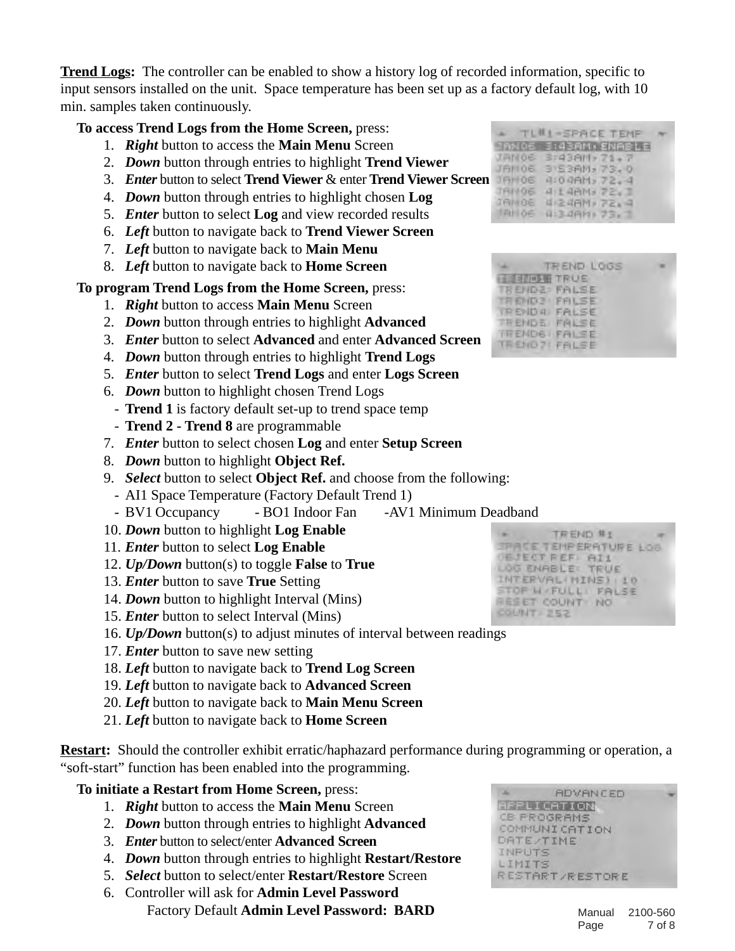**Trend Logs:** The controller can be enabled to show a history log of recorded information, specific to input sensors installed on the unit. Space temperature has been set up as a factory default log, with 10 min. samples taken continuously.

#### **To access Trend Logs from the Home Screen,** press:

- 1. *Right* button to access the **Main Menu** Screen
- 2. *Down* button through entries to highlight **Trend Viewer**
- 3. *Enter* button to select **Trend Viewer** & enter **Trend Viewer Screen**
- 4. *Down* button through entries to highlight chosen **Log**
- 5. *Enter* button to select **Log** and view recorded results
- 6. *Left* button to navigate back to **Trend Viewer Screen**
- 7. *Left* button to navigate back to **Main Menu**
- 8. *Left* button to navigate back to **Home Screen**

**To program Trend Logs from the Home Screen,** press:

- 1. *Right* button to access **Main Menu** Screen
- 2. *Down* button through entries to highlight **Advanced**
- 3. *Enter* button to select **Advanced** and enter **Advanced Screen**
- 4. *Down* button through entries to highlight **Trend Logs**
- 5. *Enter* button to select **Trend Logs** and enter **Logs Screen**
- 6. *Down* button to highlight chosen Trend Logs
- **Trend 1** is factory default set-up to trend space temp
- **Trend 2 Trend 8** are programmable
- 7. *Enter* button to select chosen **Log** and enter **Setup Screen**
- 8. *Down* button to highlight **Object Ref.**
- 9. *Select* button to select **Object Ref.** and choose from the following:
- AI1 Space Temperature (Factory Default Trend 1)
- BV1 Occupancy BO1 Indoor Fan -AV1 Minimum Deadband
- 10. *Down* button to highlight **Log Enable**
- 11. *Enter* button to select **Log Enable**
- 12. *Up/Down* button(s) to toggle **False** to **True**
- 13. *Enter* button to save **True** Setting
- 14. *Down* button to highlight Interval (Mins)
- 15. *Enter* button to select Interval (Mins)
- 16. *Up/Down* button(s) to adjust minutes of interval between readings
- 17. *Enter* button to save new setting
- 18. *Left* button to navigate back to **Trend Log Screen**
- 19. *Left* button to navigate back to **Advanced Screen**
- 20. *Left* button to navigate back to **Main Menu Screen**
- 21. *Left* button to navigate back to **Home Screen**

**Restart:** Should the controller exhibit erratic/haphazard performance during programming or operation, a "soft-start" function has been enabled into the programming.

#### **To initiate a Restart from Home Screen,** press:

- 1. *Right* button to access the **Main Menu** Screen
- 2. *Down* button through entries to highlight **Advanced**
- 3. *Enter* button to select/enter **Advanced Screen**
- 4. *Down* button through entries to highlight **Restart/Restore**
- 5. *Select* button to select/enter **Restart/Restore** Screen
- 6. Controller will ask for **Admin Level Password** Factory Default **Admin Level Password: BARD**

|                   | TL#1-SPACE TEMP      |  |
|-------------------|----------------------|--|
| 三百万里山三            | <b>SIGBAM ENABLE</b> |  |
| JAN 06            | $3743911 - 71 - 7$   |  |
| <b>JANOE</b>      | 3153AM, 73.0         |  |
| <b>JAH06</b><br>ı | 4:04AM, 72.4         |  |
| TAN06             | 41.48M <sub>2</sub>  |  |
| <b>IRM OE</b>     | $4.24$ AM $32.4$     |  |
| <b>TANIOE</b>     | U:34AM) 73.          |  |



TREND #1 **SPACE TEMPERATURE LOB JEJECT PEF AI1** LOG ENRBLE: TRUE INTERVALININS) 10 STOP M FULL PALSE RESET COUNT NO COUNT 252

|        | <b>ADVANCED</b>        |  |
|--------|------------------------|--|
|        | <b>AFFLICATION</b>     |  |
|        | <b>CB PROGRAMS</b>     |  |
|        | COMMUNICATION          |  |
|        | <b>DATE/TIME</b>       |  |
| INPUTS |                        |  |
| LIMITS |                        |  |
|        | <b>RESTART/RESTORE</b> |  |
|        |                        |  |